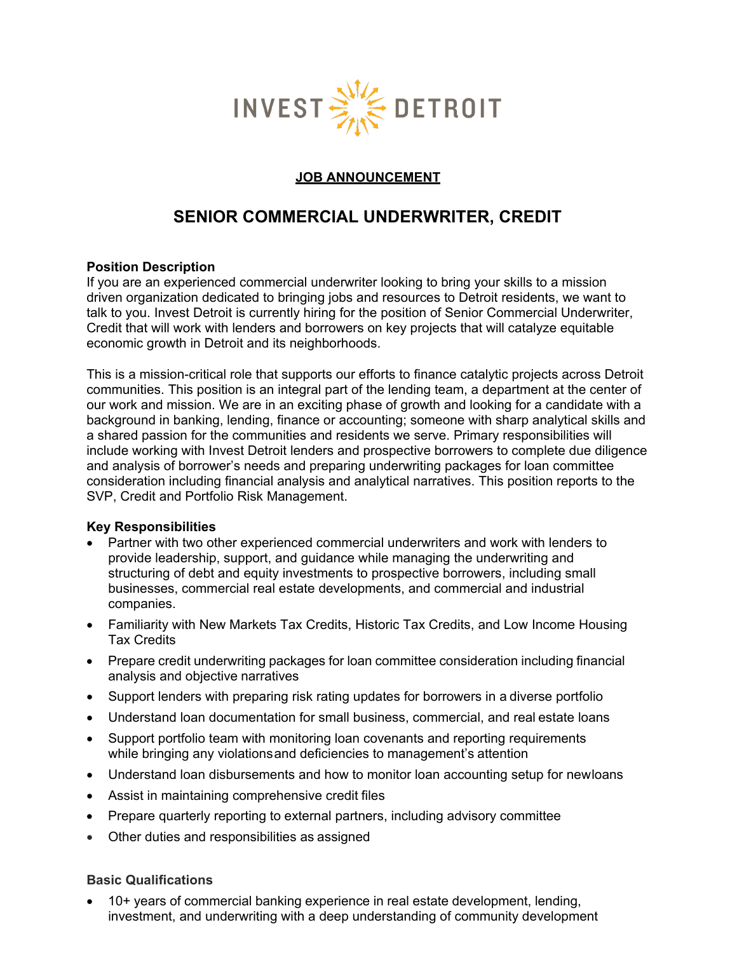

#### **JOB ANNOUNCEMENT**

# **SENIOR COMMERCIAL UNDERWRITER, CREDIT**

#### **Position Description**

If you are an experienced commercial underwriter looking to bring your skills to a mission driven organization dedicated to bringing jobs and resources to Detroit residents, we want to talk to you. Invest Detroit is currently hiring for the position of Senior Commercial Underwriter, Credit that will work with lenders and borrowers on key projects that will catalyze equitable economic growth in Detroit and its neighborhoods.

This is a mission-critical role that supports our efforts to finance catalytic projects across Detroit communities. This position is an integral part of the lending team, a department at the center of our work and mission. We are in an exciting phase of growth and looking for a candidate with a background in banking, lending, finance or accounting; someone with sharp analytical skills and a shared passion for the communities and residents we serve. Primary responsibilities will include working with Invest Detroit lenders and prospective borrowers to complete due diligence and analysis of borrower's needs and preparing underwriting packages for loan committee consideration including financial analysis and analytical narratives. This position reports to the SVP, Credit and Portfolio Risk Management.

#### **Key Responsibilities**

- Partner with two other experienced commercial underwriters and work with lenders to provide leadership, support, and guidance while managing the underwriting and structuring of debt and equity investments to prospective borrowers, including small businesses, commercial real estate developments, and commercial and industrial companies.
- Familiarity with New Markets Tax Credits, Historic Tax Credits, and Low Income Housing Tax Credits
- Prepare credit underwriting packages for loan committee consideration including financial analysis and objective narratives
- Support lenders with preparing risk rating updates for borrowers in a diverse portfolio
- Understand loan documentation for small business, commercial, and real estate loans
- Support portfolio team with monitoring loan covenants and reporting requirements while bringing any violationsand deficiencies to management's attention
- Understand loan disbursements and how to monitor loan accounting setup for newloans
- Assist in maintaining comprehensive credit files
- Prepare quarterly reporting to external partners, including advisory committee
- Other duties and responsibilities as assigned

#### **Basic Qualifications**

• 10+ years of commercial banking experience in real estate development, lending, investment, and underwriting with a deep understanding of community development